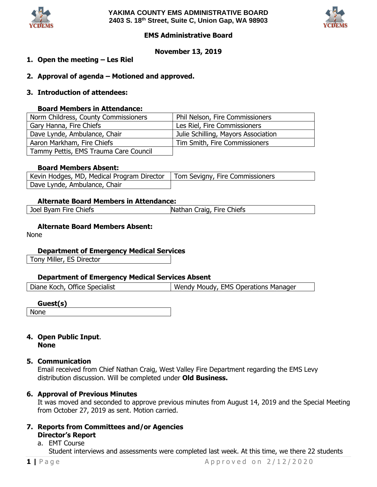



# **EMS Administrative Board**

## **November 13, 2019**

- **1. Open the meeting – Les Riel**
- **2. Approval of agenda – Motioned and approved.**
- **3. Introduction of attendees:**

## **Board Members in Attendance:**

| Norm Childress, County Commissioners  | Phil Nelson, Fire Commissioners     |
|---------------------------------------|-------------------------------------|
| Gary Hanna, Fire Chiefs               | Les Riel, Fire Commissioners        |
| Dave Lynde, Ambulance, Chair          | Julie Schilling, Mayors Association |
| Aaron Markham, Fire Chiefs            | Tim Smith, Fire Commissioners       |
| Tammy Pettis, EMS Trauma Care Council |                                     |

## **Board Members Absent:**

| Kevin Hodges, MD, Medical Program Director   Tom Sevigny, Fire Commissioners |  |
|------------------------------------------------------------------------------|--|
| Dave Lynde, Ambulance, Chair                                                 |  |

## **Alternate Board Members in Attendance:**

Joel Byam Fire Chiefs Nathan Craig, Fire Chiefs

# **Alternate Board Members Absent:**

None

# **Department of Emergency Medical Services**

Tony Miller, ES Director

#### **Department of Emergency Medical Services Absent**

| Diane Koch, Office Specialist | Wendy Moudy, EMS Operations Manager |
|-------------------------------|-------------------------------------|
|                               |                                     |

#### **Guest(s)** None

## **4. Open Public Input**. **None**

#### **5. Communication**

Email received from Chief Nathan Craig, West Valley Fire Department regarding the EMS Levy distribution discussion. Will be completed under **Old Business.**

# **6. Approval of Previous Minutes**

It was moved and seconded to approve previous minutes from August 14, 2019 and the Special Meeting from October 27, 2019 as sent. Motion carried.

**7. Reports from Committees and/or Agencies Director's Report**

# a. EMT Course

Student interviews and assessments were completed last week. At this time, we there 22 students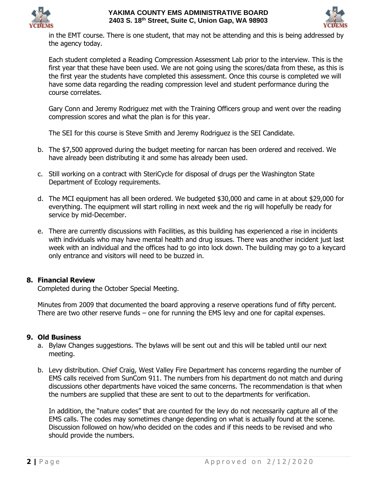



in the EMT course. There is one student, that may not be attending and this is being addressed by the agency today.

Each student completed a Reading Compression Assessment Lab prior to the interview. This is the first year that these have been used. We are not going using the scores/data from these, as this is the first year the students have completed this assessment. Once this course is completed we will have some data regarding the reading compression level and student performance during the course correlates.

Gary Conn and Jeremy Rodriguez met with the Training Officers group and went over the reading compression scores and what the plan is for this year.

The SEI for this course is Steve Smith and Jeremy Rodriguez is the SEI Candidate.

- b. The \$7,500 approved during the budget meeting for narcan has been ordered and received. We have already been distributing it and some has already been used.
- c. Still working on a contract with SteriCycle for disposal of drugs per the Washington State Department of Ecology requirements.
- d. The MCI equipment has all been ordered. We budgeted \$30,000 and came in at about \$29,000 for everything. The equipment will start rolling in next week and the rig will hopefully be ready for service by mid-December.
- e. There are currently discussions with Facilities, as this building has experienced a rise in incidents with individuals who may have mental health and drug issues. There was another incident just last week with an individual and the offices had to go into lock down. The building may go to a keycard only entrance and visitors will need to be buzzed in.

# **8. Financial Review**

Completed during the October Special Meeting.

Minutes from 2009 that documented the board approving a reserve operations fund of fifty percent. There are two other reserve funds – one for running the EMS levy and one for capital expenses.

#### **9. Old Business**

- a. Bylaw Changes suggestions. The bylaws will be sent out and this will be tabled until our next meeting.
- b. Levy distribution. Chief Craig, West Valley Fire Department has concerns regarding the number of EMS calls received from SunCom 911. The numbers from his department do not match and during discussions other departments have voiced the same concerns. The recommendation is that when the numbers are supplied that these are sent to out to the departments for verification.

In addition, the "nature codes" that are counted for the levy do not necessarily capture all of the EMS calls. The codes may sometimes change depending on what is actually found at the scene. Discussion followed on how/who decided on the codes and if this needs to be revised and who should provide the numbers.